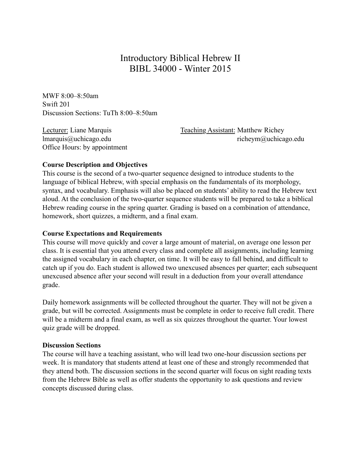# Introductory Biblical Hebrew II BIBL 34000 - Winter 2015

MWF 8:00–8:50am Swift 201 Discussion Sections: TuTh 8:00–8:50am

Office Hours: by appointment

Lecturer: Liane Marquis Teaching Assistant: Matthew Richey lmarquis@uchicago.edu richeym@uchicago.edu

#### **Course Description and Objectives**

This course is the second of a two-quarter sequence designed to introduce students to the language of biblical Hebrew, with special emphasis on the fundamentals of its morphology, syntax, and vocabulary. Emphasis will also be placed on students' ability to read the Hebrew text aloud. At the conclusion of the two-quarter sequence students will be prepared to take a biblical Hebrew reading course in the spring quarter. Grading is based on a combination of attendance, homework, short quizzes, a midterm, and a final exam.

#### **Course Expectations and Requirements**

This course will move quickly and cover a large amount of material, on average one lesson per class. It is essential that you attend every class and complete all assignments, including learning the assigned vocabulary in each chapter, on time. It will be easy to fall behind, and difficult to catch up if you do. Each student is allowed two unexcused absences per quarter; each subsequent unexcused absence after your second will result in a deduction from your overall attendance grade.

Daily homework assignments will be collected throughout the quarter. They will not be given a grade, but will be corrected. Assignments must be complete in order to receive full credit. There will be a midterm and a final exam, as well as six quizzes throughout the quarter. Your lowest quiz grade will be dropped.

#### **Discussion Sections**

The course will have a teaching assistant, who will lead two one-hour discussion sections per week. It is mandatory that students attend at least one of these and strongly recommended that they attend both. The discussion sections in the second quarter will focus on sight reading texts from the Hebrew Bible as well as offer students the opportunity to ask questions and review concepts discussed during class.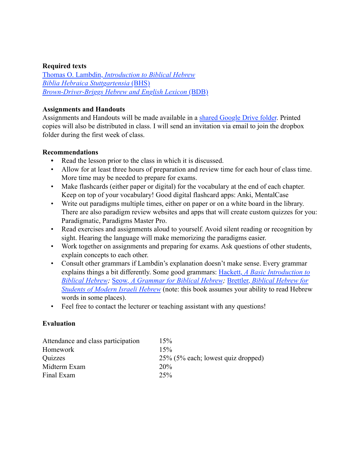#### **Required texts**

Thomas O. Lambdin, *[Introduction to Biblical Hebrew](http://www.amazon.com/Introduction-Biblical-Hebrew-Thomas-Lambdin/dp/0232513694/ref=sr_1_1?ie=UTF8&qid=1440700629&sr=8-1&keywords=lambdin+biblical+hebrew) [Biblia Hebraica Stuttgartensia](http://www.amazon.com/Biblia-Hebraica-Stuttgartensia-Hebrew-Elliger/dp/1598561634/ref=sr_1_2?ie=UTF8&qid=1440700645&sr=8-2&keywords=bhs)* (BHS) *[Brown-Driver-Briggs Hebrew and English Lexicon](http://www.amazon.com/Brown-Driver-Briggs-Hebrew-English-Lexicon/dp/1565632060/ref=sr_1_1?ie=UTF8&qid=1440700663&sr=8-1&keywords=bdb)* (BDB)

#### **Assignments and Handouts**

Assignments and Handouts will be made available in a [shared Google Drive folder](https://c4d2d1208f640a525c804e50abb0921f35dc1c9c.googledrive.com/host/0ByPNpqjZD_-gUDFBVmk4NzFZXzA/). Printed copies will also be distributed in class. I will send an invitation via email to join the dropbox folder during the first week of class.

#### **Recommendations**

- **•** Read the lesson prior to the class in which it is discussed.
- Allow for at least three hours of preparation and review time for each hour of class time. More time may be needed to prepare for exams.
- Make flashcards (either paper or digital) for the vocabulary at the end of each chapter. Keep on top of your vocabulary! Good digital flashcard apps: Anki, MentalCase
- Write out paradigms multiple times, either on paper or on a white board in the library. There are also paradigm review websites and apps that will create custom quizzes for you: Paradigmatic, Paradigms Master Pro.
- Read exercises and assignments aloud to yourself. Avoid silent reading or recognition by sight. Hearing the language will make memorizing the paradigms easier.
- Work together on assignments and preparing for exams. Ask questions of other students, explain concepts to each other.
- Consult other grammars if Lambdin's explanation doesn't make sense. Every grammar explains things a bit differently. Some good grammars: Hackett, *[A Basic Introduction to](http://www.amazon.com/Basic-Introduction-Biblical-Hebrew-CDROM/dp/159856028X/ref=sr_1_1?ie=UTF8&qid=1440700170&sr=8-1&keywords=hackett+biblical+hebrew)  [Biblical Hebrew;](http://www.amazon.com/Basic-Introduction-Biblical-Hebrew-CDROM/dp/159856028X/ref=sr_1_1?ie=UTF8&qid=1440700170&sr=8-1&keywords=hackett+biblical+hebrew)* Seow*[, A Grammar for Biblical Hebrew](http://www.amazon.com/Grammar-Biblical-Hebrew-Revised/dp/0687157862/ref=sr_1_1?ie=UTF8&qid=1440700288&sr=8-1&keywords=seow+biblical+hebrew);* Brettler, *[Biblical Hebrew for](http://www.amazon.com/Biblical-Hebrew-Students-Modern-Israeli/dp/0300084404/ref=sr_1_sc_1?ie=UTF8&qid=1440700553&sr=8-1-spell&keywords=brettler+biblial+hebrew)  [Students of Modern Israeli Hebrew](http://www.amazon.com/Biblical-Hebrew-Students-Modern-Israeli/dp/0300084404/ref=sr_1_sc_1?ie=UTF8&qid=1440700553&sr=8-1-spell&keywords=brettler+biblial+hebrew)* (note: this book assumes your ability to read Hebrew words in some places).
- Feel free to contact the lecturer or teaching assistant with any questions!

#### **Evaluation**

| Attendance and class participation | 15%                                |
|------------------------------------|------------------------------------|
| Homework                           | 15%                                |
| Quizzes                            | 25% (5% each; lowest quiz dropped) |
| Midterm Exam                       | 20%                                |
| Final Exam                         | 25%                                |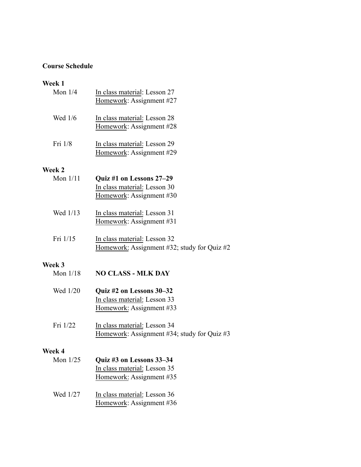## **Course Schedule**

## **Week 1**

| vveek 1    |                                                                                      |
|------------|--------------------------------------------------------------------------------------|
| Mon $1/4$  | In class material: Lesson 27<br>Homework: Assignment #27                             |
| Wed 1/6    | In class material: Lesson 28<br>Homework: Assignment #28                             |
| Fri 1/8    | In class material: Lesson 29<br>Homework: Assignment #29                             |
| Week 2     |                                                                                      |
| Mon $1/11$ | Quiz #1 on Lessons 27–29<br>In class material: Lesson 30                             |
|            | Homework: Assignment #30                                                             |
| Wed 1/13   | In class material: Lesson 31<br>Homework: Assignment #31                             |
| Fri 1/15   | In class material: Lesson 32<br>Homework: Assignment #32; study for Quiz #2          |
| Week 3     |                                                                                      |
| Mon $1/18$ | <b>NO CLASS - MLK DAY</b>                                                            |
| Wed 1/20   | Quiz #2 on Lessons 30–32<br>In class material: Lesson 33<br>Homework: Assignment #33 |
| Fri 1/22   | In class material: Lesson 34<br>Homework: Assignment #34; study for Quiz #3          |
| Week 4     |                                                                                      |
| Mon 1/25   | Quiz #3 on Lessons 33-34                                                             |
|            | In class material: Lesson 35                                                         |
|            | Homework: Assignment #35                                                             |
| Wed 1/27   | In class material: Lesson 36                                                         |
|            | Homework: Assignment #36                                                             |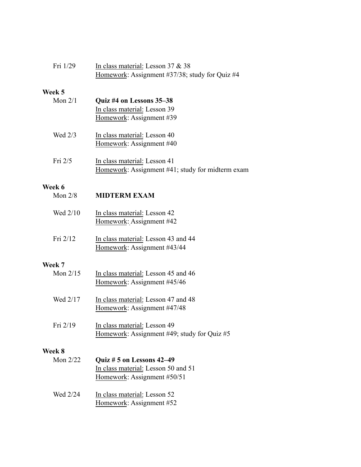| Fri 1/29   | In class material: Lesson 37 & 38<br>Homework: Assignment #37/38; study for Quiz #4             |
|------------|-------------------------------------------------------------------------------------------------|
| Week 5     |                                                                                                 |
| Mon $2/1$  | Quiz #4 on Lessons 35-38<br>In class material: Lesson 39<br>Homework: Assignment #39            |
| Wed 2/3    | In class material: Lesson 40<br>Homework: Assignment #40                                        |
| Fri 2/5    | In class material: Lesson 41<br>Homework: Assignment #41; study for midterm exam                |
| Week 6     |                                                                                                 |
| Mon $2/8$  | <b>MIDTERM EXAM</b>                                                                             |
| Wed 2/10   | In class material: Lesson 42<br>Homework: Assignment #42                                        |
| Fri 2/12   | In class material: Lesson 43 and 44<br>Homework: Assignment #43/44                              |
| Week 7     |                                                                                                 |
| Mon $2/15$ | In class material: Lesson 45 and 46<br>Homework: Assignment #45/46                              |
| Wed 2/17   | In class material: Lesson 47 and 48<br>Homework: Assignment #47/48                              |
| Fri 2/19   | In class material: Lesson 49<br>Homework: Assignment #49; study for Quiz #5                     |
| Week 8     |                                                                                                 |
| Mon 2/22   | Quiz # 5 on Lessons 42-49<br>In class material: Lesson 50 and 51<br>Homework: Assignment #50/51 |
| Wed 2/24   | In class material: Lesson 52<br>Homework: Assignment #52                                        |